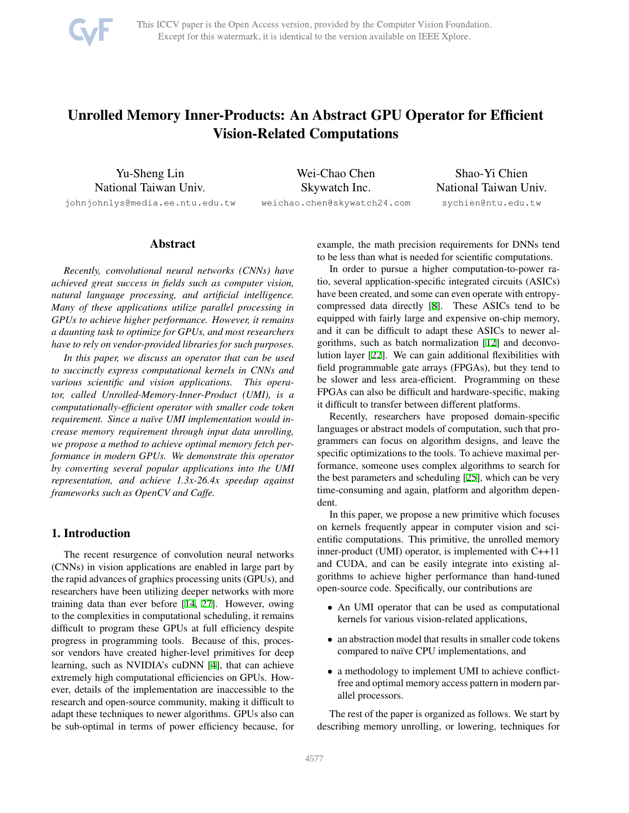

# Unrolled Memory Inner-Products: An Abstract GPU Operator for Efficient Vision-Related Computations

Yu-Sheng Lin National Taiwan Univ.

johnjohnlys@media.ee.ntu.edu.tw

Wei-Chao Chen Skywatch Inc. weichao.chen@skywatch24.com

Shao-Yi Chien National Taiwan Univ. sychien@ntu.edu.tw

# Abstract

*Recently, convolutional neural networks (CNNs) have achieved great success in fields such as computer vision, natural language processing, and artificial intelligence. Many of these applications utilize parallel processing in GPUs to achieve higher performance. However, it remains a daunting task to optimize for GPUs, and most researchers have to rely on vendor-provided libraries for such purposes.*

*In this paper, we discuss an operator that can be used to succinctly express computational kernels in CNNs and various scientific and vision applications. This operator, called Unrolled-Memory-Inner-Product (UMI), is a computationally-efficient operator with smaller code token requirement. Since a naïve UMI implementation would increase memory requirement through input data unrolling, we propose a method to achieve optimal memory fetch performance in modern GPUs. We demonstrate this operator by converting several popular applications into the UMI representation, and achieve 1.3x-26.4x speedup against frameworks such as OpenCV and Caffe.*

# 1. Introduction

The recent resurgence of convolution neural networks (CNNs) in vision applications are enabled in large part by the rapid advances of graphics processing units (GPUs), and researchers have been utilizing deeper networks with more training data than ever before [[14,](#page-7-0) [27](#page-7-1)]. However, owing to the complexities in computational scheduling, it remains difficult to program these GPUs at full efficiency despite progress in programming tools. Because of this, processor vendors have created higher-level primitives for deep learning, such as NVIDIA's cuDNN [[4\]](#page-7-2), that can achieve extremely high computational efficiencies on GPUs. However, details of the implementation are inaccessible to the research and open-source community, making it difficult to adapt these techniques to newer algorithms. GPUs also can be sub-optimal in terms of power efficiency because, for example, the math precision requirements for DNNs tend to be less than what is needed for scientific computations.

In order to pursue a higher computation-to-power ratio, several application-specific integrated circuits (ASICs) have been created, and some can even operate with entropycompressed data directly [[8\]](#page-7-3). These ASICs tend to be equipped with fairly large and expensive on-chip memory, and it can be difficult to adapt these ASICs to newer algorithms, such as batch normalization [\[12](#page-7-4)] and deconvolution layer [[22\]](#page-7-5). We can gain additional flexibilities with field programmable gate arrays (FPGAs), but they tend to be slower and less area-efficient. Programming on these FPGAs can also be difficult and hardware-specific, making it difficult to transfer between different platforms.

Recently, researchers have proposed domain-specific languages or abstract models of computation, such that programmers can focus on algorithm designs, and leave the specific optimizations to the tools. To achieve maximal performance, someone uses complex algorithms to search for the best parameters and scheduling [\[25](#page-7-6)], which can be very time-consuming and again, platform and algorithm dependent.

In this paper, we propose a new primitive which focuses on kernels frequently appear in computer vision and scientific computations. This primitive, the unrolled memory inner-product (UMI) operator, is implemented with C++11 and CUDA, and can be easily integrate into existing algorithms to achieve higher performance than hand-tuned open-source code. Specifically, our contributions are

- An UMI operator that can be used as computational kernels for various vision-related applications,
- an abstraction model that results in smaller code tokens compared to naïve CPU implementations, and
- a methodology to implement UMI to achieve conflictfree and optimal memory access pattern in modern parallel processors.

The rest of the paper is organized as follows. We start by describing memory unrolling, or lowering, techniques for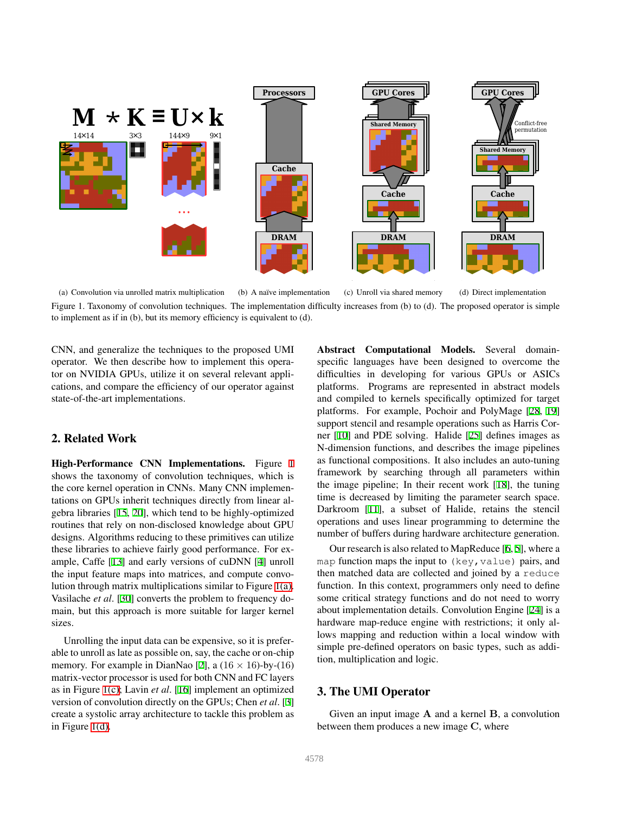<span id="page-1-1"></span>

<span id="page-1-0"></span>(a) Convolution via unrolled matrix multiplication (b) A naïve implementation (c) Unroll via shared memory (d) Direct implementation Figure 1. Taxonomy of convolution techniques. The implementation difficulty increases from (b) to (d). The proposed operator is simple to implement as if in (b), but its memory efficiency is equivalent to (d).

CNN, and generalize the techniques to the proposed UMI operator. We then describe how to implement this operator on NVIDIA GPUs, utilize it on several relevant applications, and compare the efficiency of our operator against state-of-the-art implementations.

# 2. Related Work

High-Performance CNN Implementations. Figure [1](#page-1-0) shows the taxonomy of convolution techniques, which is the core kernel operation in CNNs. Many CNN implementations on GPUs inherit techniques directly from linear algebra libraries [[15,](#page-7-7) [20](#page-7-8)], which tend to be highly-optimized routines that rely on non-disclosed knowledge about GPU designs. Algorithms reducing to these primitives can utilize these libraries to achieve fairly good performance. For example, Caffe [[13\]](#page-7-9) and early versions of cuDNN [\[4](#page-7-2)] unroll the input feature maps into matrices, and compute convolution through matrix multiplications similar to Figure [1\(a\).](#page-1-1) Vasilache *et al*. [\[30](#page-8-0)] converts the problem to frequency domain, but this approach is more suitable for larger kernel sizes.

Unrolling the input data can be expensive, so it is preferable to unroll as late as possible on, say, the cache or on-chip memory. For example in DianNao [[2\]](#page-7-10), a  $(16 \times 16)$ -by- $(16)$ matrix-vector processor is used for both CNN and FC layers as in Figure [1\(c\)](#page-1-2); Lavin *et al*. [\[16](#page-7-11)] implement an optimized version of convolution directly on the GPUs; Chen *et al*. [\[3](#page-7-12)] create a systolic array architecture to tackle this problem as in Figure [1\(d\)](#page-1-3).

<span id="page-1-3"></span><span id="page-1-2"></span>Abstract Computational Models. Several domainspecific languages have been designed to overcome the difficulties in developing for various GPUs or ASICs platforms. Programs are represented in abstract models and compiled to kernels specifically optimized for target platforms. For example, Pochoir and PolyMage [[28,](#page-7-13) [19\]](#page-7-14) support stencil and resample operations such as Harris Corner [\[10](#page-7-15)] and PDE solving. Halide [[25\]](#page-7-6) defines images as N-dimension functions, and describes the image pipelines as functional compositions. It also includes an auto-tuning framework by searching through all parameters within the image pipeline; In their recent work [\[18](#page-7-16)], the tuning time is decreased by limiting the parameter search space. Darkroom [[11\]](#page-7-17), a subset of Halide, retains the stencil operations and uses linear programming to determine the number of buffers during hardware architecture generation.

Our research is also related to MapReduce [\[6](#page-7-18), [5\]](#page-7-19), where a map function maps the input to  $(key, value)$  pairs, and then matched data are collected and joined by a reduce function. In this context, programmers only need to define some critical strategy functions and do not need to worry about implementation details. Convolution Engine [[24\]](#page-7-20) is a hardware map-reduce engine with restrictions; it only allows mapping and reduction within a local window with simple pre-defined operators on basic types, such as addition, multiplication and logic.

# 3. The UMI Operator

Given an input image A and a kernel B, a convolution between them produces a new image C, where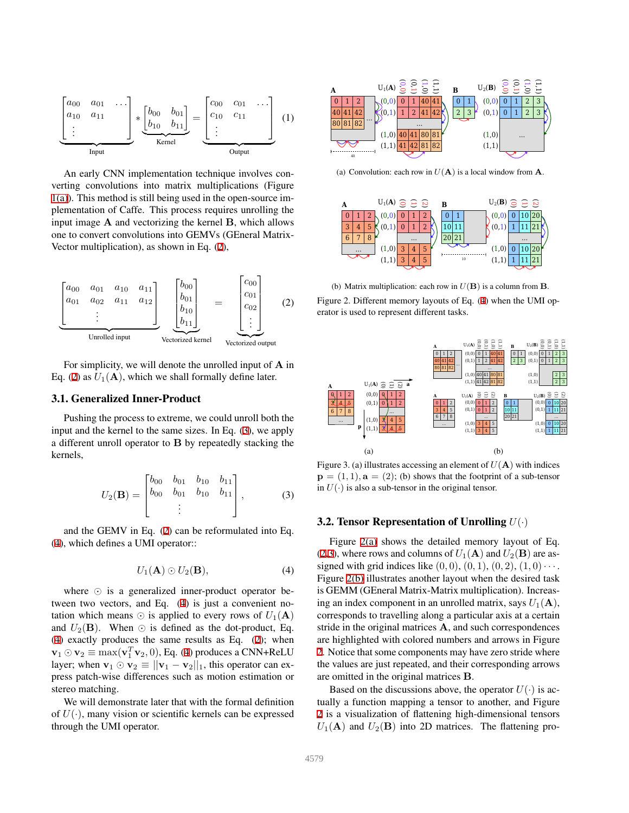

An early CNN implementation technique involves converting convolutions into matrix multiplications (Figure [1\(a\)](#page-1-1)). This method is still being used in the open-source implementation of Caffe. This process requires unrolling the input image A and vectorizing the kernel B, which allows one to convert convolutions into GEMVs (GEneral Matrix-Vector multiplication), as shown in Eq. [\(2](#page-2-0)),

<span id="page-2-0"></span>

For simplicity, we will denote the unrolled input of A in Eq. [\(2](#page-2-0)) as  $U_1(A)$ , which we shall formally define later.

#### 3.1. Generalized Inner-Product

Pushing the process to extreme, we could unroll both the input and the kernel to the same sizes. In Eq. ([3\)](#page-2-1), we apply a different unroll operator to B by repeatedly stacking the kernels,

<span id="page-2-1"></span>
$$
U_2(\mathbf{B}) = \begin{bmatrix} b_{00} & b_{01} & b_{10} & b_{11} \\ b_{00} & b_{01} & b_{10} & b_{11} \\ \vdots & \vdots & \ddots & \vdots \end{bmatrix}, \quad (3)
$$

and the GEMV in Eq. [\(2](#page-2-0)) can be reformulated into Eq. [\(4](#page-2-2)), which defines a UMI operator::

<span id="page-2-2"></span>
$$
U_1(\mathbf{A}) \odot U_2(\mathbf{B}), \tag{4}
$$

where ⊙ is a generalized inner-product operator between two vectors, and Eq. ([4\)](#page-2-2) is just a convenient notation which means  $\odot$  is applied to every rows of  $U_1(\mathbf{A})$ and  $U_2(\mathbf{B})$ . When  $\odot$  is defined as the dot-product, Eq. [\(4](#page-2-2)) exactly produces the same results as Eq. ([2\)](#page-2-0); when  $\mathbf{v}_1 \odot \mathbf{v}_2 \equiv \max(\mathbf{v}_1^T \mathbf{v}_2, 0),$  Eq. [\(4](#page-2-2)) produces a CNN+ReLU layer; when  $\mathbf{v}_1 \odot \mathbf{v}_2 \equiv ||\mathbf{v}_1 - \mathbf{v}_2||_1$ , this operator can express patch-wise differences such as motion estimation or stereo matching.

We will demonstrate later that with the formal definition of  $U(\cdot)$ , many vision or scientific kernels can be expressed through the UMI operator.

<span id="page-2-3"></span>

(a) Convolution: each row in  $U(A)$  is a local window from A.

<span id="page-2-4"></span>

<span id="page-2-5"></span>(b) Matrix multiplication: each row in  $U(\mathbf{B})$  is a column from  $\mathbf{B}$ . Figure 2. Different memory layouts of Eq. [\(4\)](#page-2-2) when the UMI operator is used to represent different tasks.

<span id="page-2-6"></span>

<span id="page-2-7"></span>Figure 3. (a) illustrates accessing an element of  $U(A)$  with indices  $\mathbf{p} = (1, 1), \mathbf{a} = (2)$ ; (b) shows that the footprint of a sub-tensor in  $U(\cdot)$  is also a sub-tensor in the original tensor.

#### 3.2. Tensor Representation of Unrolling  $U(\cdot)$

Figure [2\(a\)](#page-2-3) shows the detailed memory layout of Eq. [\(2](#page-2-0),[3\)](#page-2-1), where rows and columns of  $U_1(\mathbf{A})$  and  $U_2(\mathbf{B})$  are assigned with grid indices like  $(0, 0)$ ,  $(0, 1)$ ,  $(0, 2)$ ,  $(1, 0) \cdots$ . Figure [2\(b\)](#page-2-4) illustrates another layout when the desired task is GEMM (GEneral Matrix-Matrix multiplication). Increasing an index component in an unrolled matrix, says  $U_1(\mathbf{A})$ , corresponds to travelling along a particular axis at a certain stride in the original matrices A, and such correspondences are highlighted with colored numbers and arrows in Figure [2.](#page-2-5) Notice that some components may have zero stride where the values are just repeated, and their corresponding arrows are omitted in the original matrices B.

Based on the discussions above, the operator  $U(\cdot)$  is actually a function mapping a tensor to another, and Figure [2](#page-2-5) is a visualization of flattening high-dimensional tensors  $U_1(A)$  and  $U_2(B)$  into 2D matrices. The flattening pro-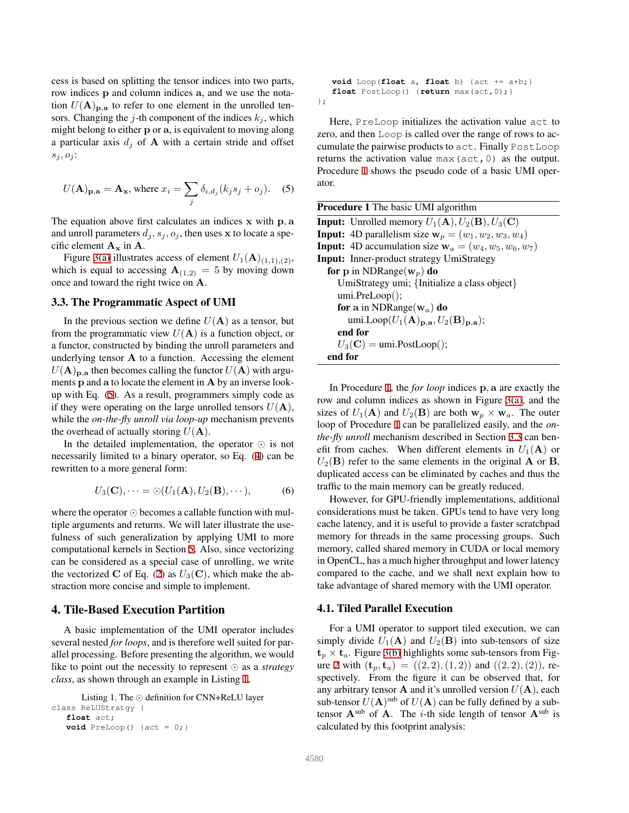cess is based on splitting the tensor indices into two parts, row indices p and column indices a, and we use the notation  $U(\mathbf{A})_{\mathbf{p},\mathbf{a}}$  to refer to one element in the unrolled tensors. Changing the j-th component of the indices  $k_j$ , which might belong to either p or a, is equivalent to moving along a particular axis  $d_i$  of **A** with a certain stride and offset  $s_j, o_j$ :

<span id="page-3-0"></span>
$$
U(\mathbf{A})_{\mathbf{p},\mathbf{a}} = \mathbf{A}_{\mathbf{x}}, \text{ where } x_i = \sum_j \delta_{i,d_j} (k_j s_j + o_j). \quad (5)
$$

The equation above first calculates an indices x with p, a and unroll parameters  $d_i, s_j, o_j$ , then uses x to locate a specific element  $A_x$  in  $A$ .

Figure [3\(a\)](#page-2-6) illustrates access of element  $U_1(\mathbf{A})_{(1,1),(2)}$ , which is equal to accessing  $A_{(1,2)} = 5$  by moving down once and toward the right twice on A.

#### <span id="page-3-3"></span>3.3. The Programmatic Aspect of UMI

In the previous section we define  $U(A)$  as a tensor, but from the programmatic view  $U(A)$  is a function object, or a functor, constructed by binding the unroll parameters and underlying tensor  $A$  to a function. Accessing the element  $U(\mathbf{A})_{\mathbf{p},\mathbf{a}}$  then becomes calling the functor  $U(\mathbf{A})$  with arguments p and a to locate the element in A by an inverse lookup with Eq. [\(5](#page-3-0)). As a result, programmers simply code as if they were operating on the large unrolled tensors  $U(\mathbf{A})$ , while the *on-the-fly unroll via loop-up* mechanism prevents the overhead of actually storing  $U(\mathbf{A})$ .

In the detailed implementation, the operator ⊙ is not necessarily limited to a binary operator, so Eq. ([4\)](#page-2-2) can be rewritten to a more general form:

$$
U_3(\mathbf{C}), \dots = \odot (U_1(\mathbf{A}), U_2(\mathbf{B}), \dots), \tag{6}
$$

where the operator ⊙ becomes a callable function with multiple arguments and returns. We will later illustrate the usefulness of such generalization by applying UMI to more computational kernels in Section [5.](#page-5-0) Also, since vectorizing can be considered as a special case of unrolling, we write the vectorized C of Eq. [\(2](#page-2-0)) as  $U_3(\mathbf{C})$ , which make the abstraction more concise and simple to implement.

# 4. Tile-Based Execution Partition

A basic implementation of the UMI operator includes several nested *for loops*, and is therefore well suited for parallel processing. Before presenting the algorithm, we would like to point out the necessity to represent ⊙ as a *strategy class*, as shown through an example in Listing [1](#page-3-1),

```
Listing 1. The ⊙ definition for CNN+ReLU layer
class ReLUStratgy {
   float act;
   void PreLoop() \{act = 0; \}
```
**void** Loop(**float** a, **float** b) {act += a\*b;} **float** PostLoop() {**return** max(act,0);} };

Here, PreLoop initializes the activation value act to zero, and then Loop is called over the range of rows to accumulate the pairwise products to act. Finally PostLoop returns the activation value max(act,0) as the output. Procedure [1](#page-3-2) shows the pseudo code of a basic UMI operator.

<span id="page-3-2"></span>

| <b>Procedure 1</b> The basic UMI algorithm                                                      |  |  |  |
|-------------------------------------------------------------------------------------------------|--|--|--|
| <b>Input:</b> Unrolled memory $U_1(\mathbf{A}), U_2(\mathbf{B}), U_3(\mathbf{C})$               |  |  |  |
| <b>Input:</b> 4D parallelism size $w_p = (w_1, w_2, w_3, w_4)$                                  |  |  |  |
| <b>Input:</b> 4D accumulation size $\mathbf{w}_a = (w_4, w_5, w_6, w_7)$                        |  |  |  |
| <b>Input:</b> Inner-product strategy UmiStrategy                                                |  |  |  |
| for p in NDRange( $w_p$ ) do                                                                    |  |  |  |
| UmiStrategy umi; {Initialize a class object}                                                    |  |  |  |
| umi.PreLoop();                                                                                  |  |  |  |
| for a in NDRange( $w_a$ ) do                                                                    |  |  |  |
| umi.Loop $(U_1(\mathbf{A})_{\mathbf{p},\mathbf{a}}, U_2(\mathbf{B})_{\mathbf{p},\mathbf{a}})$ ; |  |  |  |
| end for                                                                                         |  |  |  |
| $U_3(\mathbf{C}) = \text{umi.PostLoop}$ ();                                                     |  |  |  |
| end for                                                                                         |  |  |  |

In Procedure [1](#page-3-2), the *for loop* indices p, a are exactly the row and column indices as shown in Figure [3\(a\),](#page-2-6) and the sizes of  $U_1(\mathbf{A})$  and  $U_2(\mathbf{B})$  are both  $\mathbf{w}_p \times \mathbf{w}_q$ . The outer loop of Procedure [1](#page-3-2) can be parallelized easily, and the *onthe-fly unroll* mechanism described in Section [3.3](#page-3-3) can benefit from caches. When different elements in  $U_1(A)$  or  $U_2(\mathbf{B})$  refer to the same elements in the original **A** or **B**, duplicated access can be eliminated by caches and thus the traffic to the main memory can be greatly reduced.

However, for GPU-friendly implementations, additional considerations must be taken. GPUs tend to have very long cache latency, and it is useful to provide a faster scratchpad memory for threads in the same processing groups. Such memory, called shared memory in CUDA or local memory in OpenCL, has a much higher throughput and lower latency compared to the cache, and we shall next explain how to take advantage of shared memory with the UMI operator.

# <span id="page-3-4"></span>4.1. Tiled Parallel Execution

For a UMI operator to support tiled execution, we can simply divide  $U_1(A)$  and  $U_2(B)$  into sub-tensors of size  $t_p \times t_a$ . Figure [3\(b\)](#page-2-7) highlights some sub-tensors from Fig-ure [2](#page-2-5) with  $(\mathbf{t}_p, \mathbf{t}_a) = ((2, 2), (1, 2))$  and  $((2, 2), (2))$ , respectively. From the figure it can be observed that, for any arbitrary tensor  $A$  and it's unrolled version  $U(A)$ , each sub-tensor  $U(\mathbf{A})^{\text{sub}}$  of  $U(\mathbf{A})$  can be fully defined by a subtensor  $A^{sub}$  of A. The *i*-th side length of tensor  $A^{sub}$  is calculated by this footprint analysis: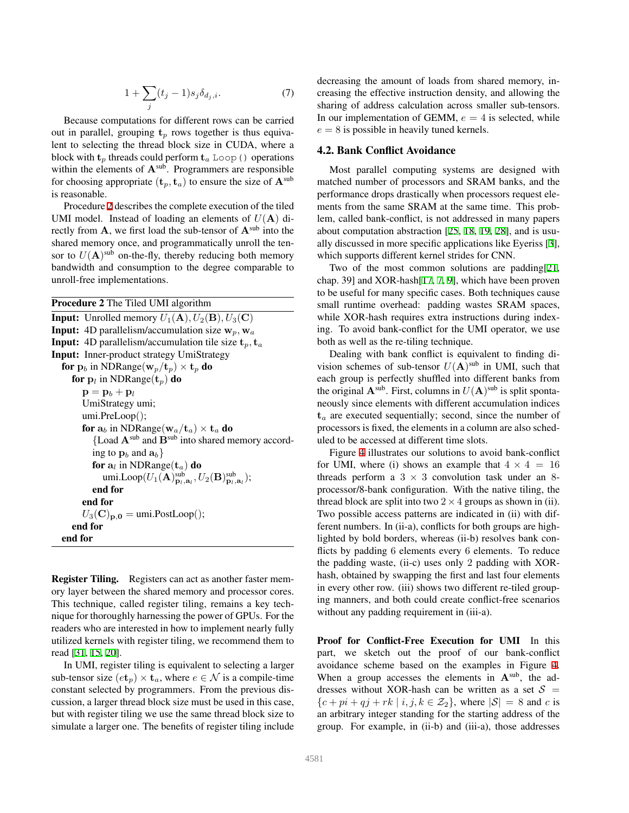$$
1 + \sum_{j} (t_j - 1)s_j \delta_{d_j, i}.\tag{7}
$$

Because computations for different rows can be carried out in parallel, grouping  $t_p$  rows together is thus equivalent to selecting the thread block size in CUDA, where a block with  $t_p$  threads could perform  $t_a$  Loop() operations within the elements of  $A^{sub}$ . Programmers are responsible for choosing appropriate  $(\mathbf{t}_n, \mathbf{t}_n)$  to ensure the size of  $\mathbf{A}^{\text{sub}}$ is reasonable.

Procedure [2](#page-4-0) describes the complete execution of the tiled UMI model. Instead of loading an elements of  $U(A)$  directly from  $A$ , we first load the sub-tensor of  $A^{sub}$  into the shared memory once, and programmatically unroll the tensor to  $U(\mathbf{A})^{\text{sub}}$  on-the-fly, thereby reducing both memory bandwidth and consumption to the degree comparable to unroll-free implementations.

<span id="page-4-0"></span>

| <b>Procedure 2</b> The Tiled UMI algorithm                                                                                       |
|----------------------------------------------------------------------------------------------------------------------------------|
| <b>Input:</b> Unrolled memory $U_1(\mathbf{A}), U_2(\mathbf{B}), U_3(\mathbf{C})$                                                |
| <b>Input:</b> 4D parallelism/accumulation size $w_p$ , $w_a$                                                                     |
| <b>Input:</b> 4D parallelism/accumulation tile size $t_p$ , $t_a$                                                                |
| <b>Input:</b> Inner-product strategy UmiStrategy                                                                                 |
| for $\mathbf{p}_b$ in NDRange( $\mathbf{w}_p/\mathbf{t}_p$ ) $\times$ $\mathbf{t}_p$ do                                          |
| for $\mathbf{p}_l$ in NDRange( $\mathbf{t}_p$ ) do                                                                               |
| $\mathbf{p} = \mathbf{p}_h + \mathbf{p}_l$                                                                                       |
| UmiStrategy umi;                                                                                                                 |
| umi.PreLoop();                                                                                                                   |
| for $a_b$ in NDRange( $w_a/t_a$ ) $\times$ $t_a$ do                                                                              |
| {Load $A^{\text{sub}}$ and $B^{\text{sub}}$ into shared memory accord-                                                           |
| ing to $\mathbf{p}_b$ and $\mathbf{a}_b$ }                                                                                       |
| for $a_l$ in NDRange( $t_a$ ) do                                                                                                 |
| umi.Loop $(U_1(\mathbf{A})_{\mathbf{D}_1,\mathbf{a}_1}^{\text{sub}}, U_2(\mathbf{B})_{\mathbf{D}_1,\mathbf{a}_1}^{\text{sub}});$ |
| end for                                                                                                                          |
| end for                                                                                                                          |
| $U_3(\mathbf{C})_{\mathbf{p},\mathbf{0}} = \text{umi.PostLoop}$ ();                                                              |
| end for                                                                                                                          |
| end for                                                                                                                          |
|                                                                                                                                  |

Register Tiling. Registers can act as another faster memory layer between the shared memory and processor cores. This technique, called register tiling, remains a key technique for thoroughly harnessing the power of GPUs. For the readers who are interested in how to implement nearly fully utilized kernels with register tiling, we recommend them to read [\[31](#page-8-1), [15,](#page-7-7) [20\]](#page-7-8).

In UMI, register tiling is equivalent to selecting a larger sub-tensor size  $(e_t) \times t_a$ , where  $e \in \mathcal{N}$  is a compile-time constant selected by programmers. From the previous discussion, a larger thread block size must be used in this case, but with register tiling we use the same thread block size to simulate a larger one. The benefits of register tiling include decreasing the amount of loads from shared memory, increasing the effective instruction density, and allowing the sharing of address calculation across smaller sub-tensors. In our implementation of GEMM,  $e = 4$  is selected, while  $e = 8$  is possible in heavily tuned kernels.

#### 4.2. Bank Conflict Avoidance

Most parallel computing systems are designed with matched number of processors and SRAM banks, and the performance drops drastically when processors request elements from the same SRAM at the same time. This problem, called bank-conflict, is not addressed in many papers about computation abstraction [\[25](#page-7-6), [18,](#page-7-16) [19](#page-7-14), [28](#page-7-13)], and is usually discussed in more specific applications like Eyeriss [\[3](#page-7-12)], which supports different kernel strides for CNN.

Two of the most common solutions are padding[[21,](#page-7-21) chap. 39] and XOR-hash[[17,](#page-7-22) [7,](#page-7-23) [9\]](#page-7-24), which have been proven to be useful for many specific cases. Both techniques cause small runtime overhead: padding wastes SRAM spaces, while XOR-hash requires extra instructions during indexing. To avoid bank-conflict for the UMI operator, we use both as well as the re-tiling technique.

Dealing with bank conflict is equivalent to finding division schemes of sub-tensor  $U(A)$ <sup>sub</sup> in UMI, such that each group is perfectly shuffled into different banks from the original  $\mathbf{A}^{\text{sub}}$ . First, columns in  $U(\mathbf{A})^{\text{sub}}$  is split spontaneously since elements with different accumulation indices  $t_a$  are executed sequentially; second, since the number of processors is fixed, the elements in a column are also scheduled to be accessed at different time slots.

Figure [4](#page-5-1) illustrates our solutions to avoid bank-conflict for UMI, where (i) shows an example that  $4 \times 4 = 16$ threads perform a  $3 \times 3$  convolution task under an 8processor/8-bank configuration. With the native tiling, the thread block are split into two  $2 \times 4$  groups as shown in (ii). Two possible access patterns are indicated in (ii) with different numbers. In (ii-a), conflicts for both groups are highlighted by bold borders, whereas (ii-b) resolves bank conflicts by padding 6 elements every 6 elements. To reduce the padding waste, (ii-c) uses only 2 padding with XORhash, obtained by swapping the first and last four elements in every other row. (iii) shows two different re-tiled grouping manners, and both could create conflict-free scenarios without any padding requirement in (iii-a).

Proof for Conflict-Free Execution for UMI In this part, we sketch out the proof of our bank-conflict avoidance scheme based on the examples in Figure [4.](#page-5-1) When a group accesses the elements in  $A^{sub}$ , the addresses without XOR-hash can be written as a set  $S =$  ${c + pi + qj + rk \mid i, j, k \in \mathcal{Z}_2},$  where  $|\mathcal{S}| = 8$  and c is an arbitrary integer standing for the starting address of the group. For example, in (ii-b) and (iii-a), those addresses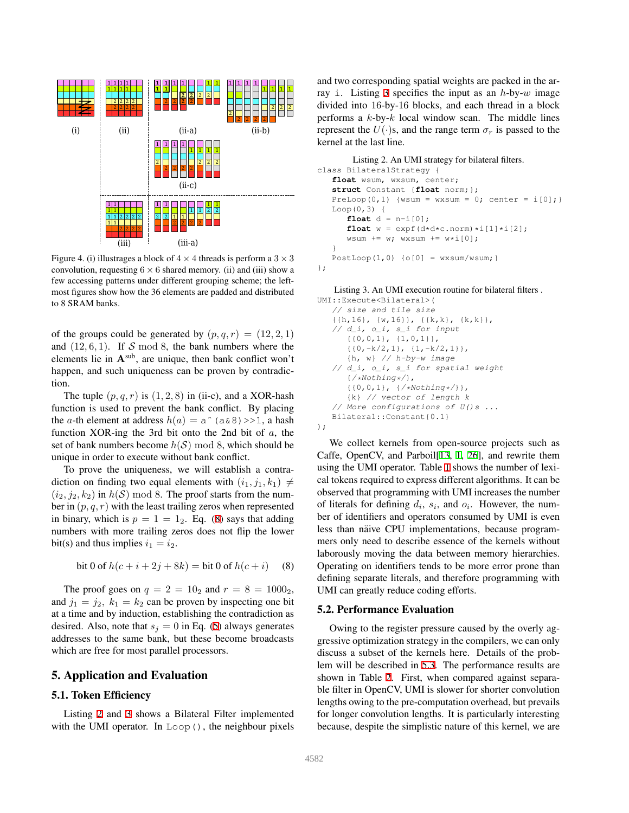

<span id="page-5-1"></span>Figure 4. (i) illustrages a block of  $4 \times 4$  threads is perform a  $3 \times 3$ convolution, requesting  $6 \times 6$  shared memory. (ii) and (iii) show a few accessing patterns under different grouping scheme; the leftmost figures show how the 36 elements are padded and distributed to 8 SRAM banks.

of the groups could be generated by  $(p, q, r) = (12, 2, 1)$ and  $(12, 6, 1)$ . If S mod 8, the bank numbers where the elements lie in  $A^{sub}$ , are unique, then bank conflict won't happen, and such uniqueness can be proven by contradiction.

The tuple  $(p, q, r)$  is  $(1, 2, 8)$  in (ii-c), and a XOR-hash function is used to prevent the bank conflict. By placing the a-th element at address  $h(a) = a \hat{ } (a \& 8) >>1$ , a hash function XOR-ing the 3rd bit onto the 2nd bit of a, the set of bank numbers become  $h(S) \mod 8$ , which should be unique in order to execute without bank conflict.

To prove the uniqueness, we will establish a contradiction on finding two equal elements with  $(i_1, j_1, k_1) \neq$  $(i_2, j_2, k_2)$  in  $h(S) \mod 8$ . The proof starts from the number in  $(p, q, r)$  with the least trailing zeros when represented in binary, which is  $p = 1 = 1_2$ . Eq. [\(8](#page-5-2)) says that adding numbers with more trailing zeros does not flip the lower bit(s) and thus implies  $i_1 = i_2$ .

<span id="page-5-2"></span>bit 0 of 
$$
h(c + i + 2j + 8k) = \text{bit 0 of } h(c + i)
$$
 (8)

The proof goes on  $q = 2 = 10_2$  and  $r = 8 = 1000_2$ , and  $j_1 = j_2$ ,  $k_1 = k_2$  can be proven by inspecting one bit at a time and by induction, establishing the contradiction as desired. Also, note that  $s_j = 0$  in Eq. ([5\)](#page-3-0) always generates addresses to the same bank, but these become broadcasts which are free for most parallel processors.

#### <span id="page-5-0"></span>5. Application and Evaluation

#### 5.1. Token Efficiency

Listing [2](#page-5-3) and [3](#page-5-4) shows a Bilateral Filter implemented with the UMI operator. In Loop(), the neighbour pixels

and two corresponding spatial weights are packed in the ar-ray i. Listing [3](#page-5-4) specifies the input as an  $h$ -by-w image divided into 16-by-16 blocks, and each thread in a block performs a  $k$ -by- $k$  local window scan. The middle lines represent the  $U(\cdot)$ s, and the range term  $\sigma_r$  is passed to the kernel at the last line.

```
Listing 2. An UMI strategy for bilateral filters.
class BilateralStrategy {
   float wsum, wxsum, center;
   struct Constant {float norm;};
   PreLoop(0,1) {wsum = wxsum = 0; center = i[0];Loop(0,3) {
       float d = n-i[0];
       float w = \exp f(d \star d \star c \cdot n \text{ or } m) \star i[1] \star i[2];
       wsum += w; wxsum += w*i[0];}
   PostLoop(1,0) \{o[0] = wxsum/wsum; }
};
```
<span id="page-5-4"></span>Listing 3. An UMI execution routine for bilateral filters . UMI::Execute<Bilateral>(

```
// size and tile size
   {{h,16}, {w,16}}, {{k,k}, {k,k}},
   // d_i, o_i, s_i for input
      {0,0,1}, {1,0,1},{{0,-k/2,1}, {1,-k/2,1}},
      {h, w} // h-by-w image
   // d_i, o_i, s_i for spatial weight
      {/*Nothing*/},
      {{0,0,1}, {/*Nothing*/}},
      {k} // vector of length k
   // More configurations of U() s \ldotsBilateral::Constant{0.1}
);
```
We collect kernels from open-source projects such as Caffe, OpenCV, and Parboil[[13,](#page-7-9) [1](#page-7-25), [26](#page-7-26)], and rewrite them using the UMI operator. Table [1](#page-6-0) shows the number of lexical tokens required to express different algorithms. It can be observed that programming with UMI increases the number of literals for defining  $d_i$ ,  $s_i$ , and  $o_i$ . However, the number of identifiers and operators consumed by UMI is even less than näive CPU implementations, because programmers only need to describe essence of the kernels without laborously moving the data between memory hierarchies. Operating on identifiers tends to be more error prone than defining separate literals, and therefore programming with UMI can greatly reduce coding efforts.

#### 5.2. Performance Evaluation

Owing to the register pressure caused by the overly aggressive optimization strategy in the compilers, we can only discuss a subset of the kernels here. Details of the problem will be described in [5.3](#page-6-1). The performance results are shown in Table [2.](#page-6-2) First, when compared against separable filter in OpenCV, UMI is slower for shorter convolution lengths owing to the pre-computation overhead, but prevails for longer convolution lengths. It is particularly interesting because, despite the simplistic nature of this kernel, we are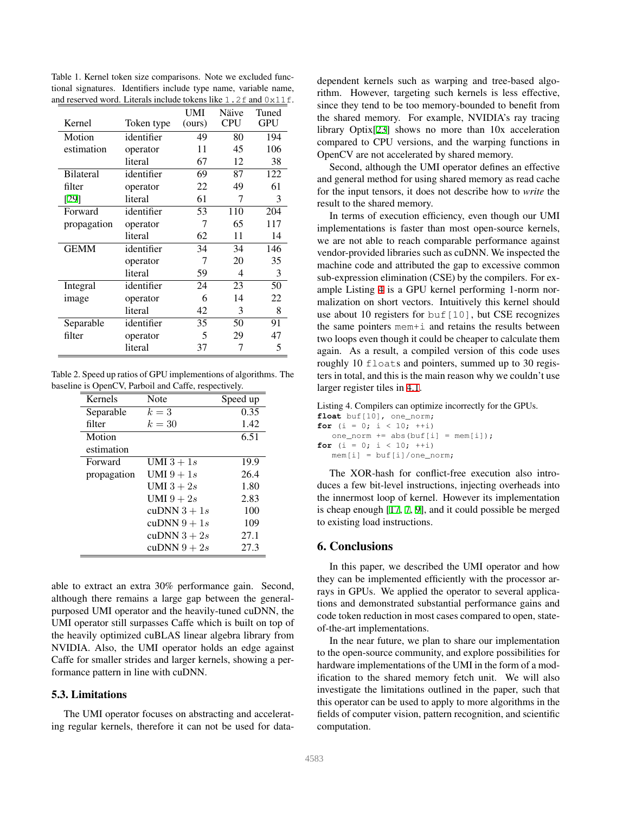| and reserved word. Energis include tokens like $\pm$ , $\angle\pm$ and $\cup$ $\angle\pm$ $\pm$ . |            | UMI    | Näive      | Tuned      |
|---------------------------------------------------------------------------------------------------|------------|--------|------------|------------|
| Kernel                                                                                            | Token type | (ours) | <b>CPU</b> | <b>GPU</b> |
| Motion                                                                                            | identifier | 49     | 80         | 194        |
| estimation                                                                                        | operator   | 11     | 45         | 106        |
|                                                                                                   | literal    | 67     | 12         | 38         |
| <b>Bilateral</b>                                                                                  | identifier | 69     | 87         | 122        |
| filter                                                                                            | operator   | 22     | 49         | 61         |
| [29]                                                                                              | literal    | 61     | 7          | 3          |
| Forward                                                                                           | identifier | 53     | 110        | 204        |
| propagation                                                                                       | operator   | 7      | 65         | 117        |
|                                                                                                   | literal    | 62     | 11         | 14         |
| <b>GEMM</b>                                                                                       | identifier | 34     | 34         | 146        |
|                                                                                                   | operator   | 7      | 20         | 35         |
|                                                                                                   | literal    | 59     | 4          | 3          |
| Integral                                                                                          | identifier | 24     | 23         | 50         |
| image                                                                                             | operator   | 6      | 14         | 22         |
|                                                                                                   | literal    | 42     | 3          | 8          |
| Separable                                                                                         | identifier | 35     | 50         | 91         |
| filter                                                                                            | operator   | 5      | 29         | 47         |
|                                                                                                   | literal    | 37     | 7          | 5          |
|                                                                                                   |            |        |            |            |

<span id="page-6-0"></span>Table 1. Kernel token size comparisons. Note we excluded functional signatures. Identifiers include type name, variable name, and reserved word. Literals include tokens like  $1.2$  f and  $0 \times 11$  f.

Table 2. Speed up ratios of GPU implementions of algorithms. The baseline is OpenCV, Parboil and Caffe, respectively.

<span id="page-6-2"></span>

| Kernels     | Note         | Speed up |
|-------------|--------------|----------|
| Separable   | $k=3$        | 0.35     |
| filter      | $k=30$       | 1.42     |
| Motion      |              | 6.51     |
| estimation  |              |          |
| Forward     | UMI $3+1s$   | 19.9     |
| propagation | UMI $9+1s$   | 26.4     |
|             | UMI $3+2s$   | 1.80     |
|             | UMI $9+2s$   | 2.83     |
|             | cuDNN $3+1s$ | 100      |
|             | cuDNN $9+1s$ | 109      |
|             | cuDNN $3+2s$ | 27.1     |
|             | cuDNN $9+2s$ | 27.3     |

able to extract an extra 30% performance gain. Second, although there remains a large gap between the generalpurposed UMI operator and the heavily-tuned cuDNN, the UMI operator still surpasses Caffe which is built on top of the heavily optimized cuBLAS linear algebra library from NVIDIA. Also, the UMI operator holds an edge against Caffe for smaller strides and larger kernels, showing a performance pattern in line with cuDNN.

#### <span id="page-6-1"></span>5.3. Limitations

The UMI operator focuses on abstracting and accelerating regular kernels, therefore it can not be used for datadependent kernels such as warping and tree-based algorithm. However, targeting such kernels is less effective, since they tend to be too memory-bounded to benefit from the shared memory. For example, NVIDIA's ray tracing library Optix[\[23](#page-7-28)] shows no more than 10x acceleration compared to CPU versions, and the warping functions in OpenCV are not accelerated by shared memory.

Second, although the UMI operator defines an effective and general method for using shared memory as read cache for the input tensors, it does not describe how to *write* the result to the shared memory.

In terms of execution efficiency, even though our UMI implementations is faster than most open-source kernels, we are not able to reach comparable performance against vendor-provided libraries such as cuDNN. We inspected the machine code and attributed the gap to excessive common sub-expression elimination (CSE) by the compilers. For example Listing [4](#page-6-3) is a GPU kernel performing 1-norm normalization on short vectors. Intuitively this kernel should use about 10 registers for  $\text{buf}[10]$ , but CSE recognizes the same pointers mem+i and retains the results between two loops even though it could be cheaper to calculate them again. As a result, a compiled version of this code uses roughly 10 floats and pointers, summed up to 30 registers in total, and this is the main reason why we couldn't use larger register tiles in [4.1](#page-3-4).

<span id="page-6-3"></span>Listing 4. Compilers can optimize incorrectly for the GPUs.

**float** buf[10], one\_norm; **for** (i = 0; i < 10;  $++i$ ) one\_norm  $+=$  abs(buf[i] = mem[i]); **for** (i = 0; i < 10;  $++i$ )  $mem[i] = but[i]/one\_norm;$ 

The XOR-hash for conflict-free execution also introduces a few bit-level instructions, injecting overheads into the innermost loop of kernel. However its implementation is cheap enough [\[17](#page-7-22), [7](#page-7-23), [9\]](#page-7-24), and it could possible be merged to existing load instructions.

# 6. Conclusions

In this paper, we described the UMI operator and how they can be implemented efficiently with the processor arrays in GPUs. We applied the operator to several applications and demonstrated substantial performance gains and code token reduction in most cases compared to open, stateof-the-art implementations.

In the near future, we plan to share our implementation to the open-source community, and explore possibilities for hardware implementations of the UMI in the form of a modification to the shared memory fetch unit. We will also investigate the limitations outlined in the paper, such that this operator can be used to apply to more algorithms in the fields of computer vision, pattern recognition, and scientific computation.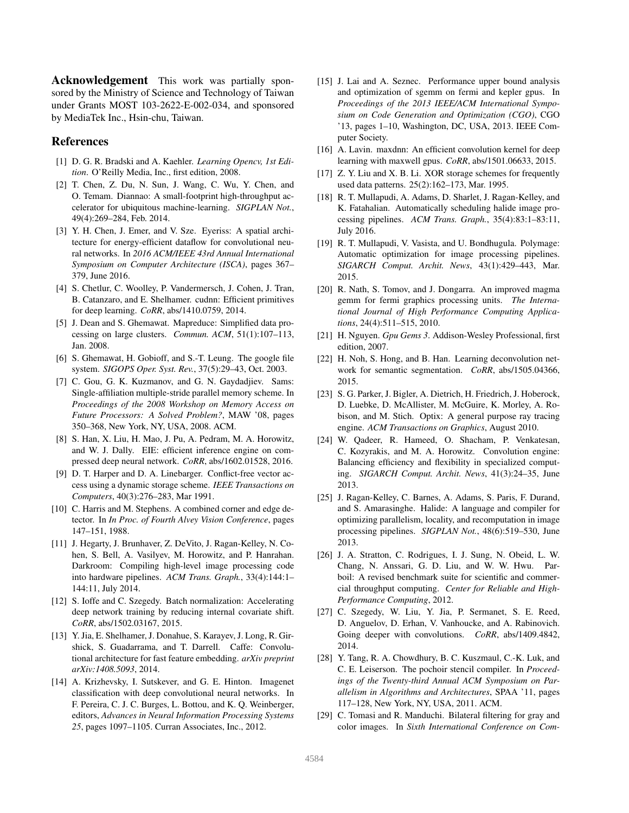Acknowledgement This work was partially sponsored by the Ministry of Science and Technology of Taiwan under Grants MOST 103-2622-E-002-034, and sponsored by MediaTek Inc., Hsin-chu, Taiwan.

# References

- <span id="page-7-25"></span>[1] D. G. R. Bradski and A. Kaehler. *Learning Opencv, 1st Edition*. O'Reilly Media, Inc., first edition, 2008.
- <span id="page-7-10"></span>[2] T. Chen, Z. Du, N. Sun, J. Wang, C. Wu, Y. Chen, and O. Temam. Diannao: A small-footprint high-throughput accelerator for ubiquitous machine-learning. *SIGPLAN Not.*, 49(4):269–284, Feb. 2014.
- <span id="page-7-12"></span>[3] Y. H. Chen, J. Emer, and V. Sze. Eyeriss: A spatial architecture for energy-efficient dataflow for convolutional neural networks. In *2016 ACM/IEEE 43rd Annual International Symposium on Computer Architecture (ISCA)*, pages 367– 379, June 2016.
- <span id="page-7-2"></span>[4] S. Chetlur, C. Woolley, P. Vandermersch, J. Cohen, J. Tran, B. Catanzaro, and E. Shelhamer. cudnn: Efficient primitives for deep learning. *CoRR*, abs/1410.0759, 2014.
- <span id="page-7-19"></span>[5] J. Dean and S. Ghemawat. Mapreduce: Simplified data processing on large clusters. *Commun. ACM*, 51(1):107–113, Jan. 2008.
- <span id="page-7-18"></span>[6] S. Ghemawat, H. Gobioff, and S.-T. Leung. The google file system. *SIGOPS Oper. Syst. Rev.*, 37(5):29–43, Oct. 2003.
- <span id="page-7-23"></span>[7] C. Gou, G. K. Kuzmanov, and G. N. Gaydadjiev. Sams: Single-affiliation multiple-stride parallel memory scheme. In *Proceedings of the 2008 Workshop on Memory Access on Future Processors: A Solved Problem?*, MAW '08, pages 350–368, New York, NY, USA, 2008. ACM.
- <span id="page-7-3"></span>[8] S. Han, X. Liu, H. Mao, J. Pu, A. Pedram, M. A. Horowitz, and W. J. Dally. EIE: efficient inference engine on compressed deep neural network. *CoRR*, abs/1602.01528, 2016.
- <span id="page-7-24"></span>[9] D. T. Harper and D. A. Linebarger. Conflict-free vector access using a dynamic storage scheme. *IEEE Transactions on Computers*, 40(3):276–283, Mar 1991.
- <span id="page-7-15"></span>[10] C. Harris and M. Stephens. A combined corner and edge detector. In *In Proc. of Fourth Alvey Vision Conference*, pages 147–151, 1988.
- <span id="page-7-17"></span>[11] J. Hegarty, J. Brunhaver, Z. DeVito, J. Ragan-Kelley, N. Cohen, S. Bell, A. Vasilyev, M. Horowitz, and P. Hanrahan. Darkroom: Compiling high-level image processing code into hardware pipelines. *ACM Trans. Graph.*, 33(4):144:1– 144:11, July 2014.
- <span id="page-7-4"></span>[12] S. Ioffe and C. Szegedy. Batch normalization: Accelerating deep network training by reducing internal covariate shift. *CoRR*, abs/1502.03167, 2015.
- <span id="page-7-9"></span>[13] Y. Jia, E. Shelhamer, J. Donahue, S. Karayev, J. Long, R. Girshick, S. Guadarrama, and T. Darrell. Caffe: Convolutional architecture for fast feature embedding. *arXiv preprint arXiv:1408.5093*, 2014.
- <span id="page-7-0"></span>[14] A. Krizhevsky, I. Sutskever, and G. E. Hinton. Imagenet classification with deep convolutional neural networks. In F. Pereira, C. J. C. Burges, L. Bottou, and K. Q. Weinberger, editors, *Advances in Neural Information Processing Systems 25*, pages 1097–1105. Curran Associates, Inc., 2012.
- <span id="page-7-7"></span>[15] J. Lai and A. Seznec. Performance upper bound analysis and optimization of sgemm on fermi and kepler gpus. In *Proceedings of the 2013 IEEE/ACM International Symposium on Code Generation and Optimization (CGO)*, CGO '13, pages 1–10, Washington, DC, USA, 2013. IEEE Computer Society.
- <span id="page-7-11"></span>[16] A. Lavin. maxdnn: An efficient convolution kernel for deep learning with maxwell gpus. *CoRR*, abs/1501.06633, 2015.
- <span id="page-7-22"></span>[17] Z. Y. Liu and X. B. Li. XOR storage schemes for frequently used data patterns. 25(2):162–173, Mar. 1995.
- <span id="page-7-16"></span>[18] R. T. Mullapudi, A. Adams, D. Sharlet, J. Ragan-Kelley, and K. Fatahalian. Automatically scheduling halide image processing pipelines. *ACM Trans. Graph.*, 35(4):83:1–83:11, July 2016.
- <span id="page-7-14"></span>[19] R. T. Mullapudi, V. Vasista, and U. Bondhugula. Polymage: Automatic optimization for image processing pipelines. *SIGARCH Comput. Archit. News*, 43(1):429–443, Mar. 2015.
- <span id="page-7-8"></span>[20] R. Nath, S. Tomov, and J. Dongarra. An improved magma gemm for fermi graphics processing units. *The International Journal of High Performance Computing Applications*, 24(4):511–515, 2010.
- <span id="page-7-21"></span>[21] H. Nguyen. *Gpu Gems 3*. Addison-Wesley Professional, first edition, 2007.
- <span id="page-7-5"></span>[22] H. Noh, S. Hong, and B. Han. Learning deconvolution network for semantic segmentation. *CoRR*, abs/1505.04366, 2015.
- <span id="page-7-28"></span>[23] S. G. Parker, J. Bigler, A. Dietrich, H. Friedrich, J. Hoberock, D. Luebke, D. McAllister, M. McGuire, K. Morley, A. Robison, and M. Stich. Optix: A general purpose ray tracing engine. *ACM Transactions on Graphics*, August 2010.
- <span id="page-7-20"></span>[24] W. Qadeer, R. Hameed, O. Shacham, P. Venkatesan, C. Kozyrakis, and M. A. Horowitz. Convolution engine: Balancing efficiency and flexibility in specialized computing. *SIGARCH Comput. Archit. News*, 41(3):24–35, June 2013.
- <span id="page-7-6"></span>[25] J. Ragan-Kelley, C. Barnes, A. Adams, S. Paris, F. Durand, and S. Amarasinghe. Halide: A language and compiler for optimizing parallelism, locality, and recomputation in image processing pipelines. *SIGPLAN Not.*, 48(6):519–530, June 2013.
- <span id="page-7-26"></span>[26] J. A. Stratton, C. Rodrigues, I. J. Sung, N. Obeid, L. W. Chang, N. Anssari, G. D. Liu, and W. W. Hwu. Parboil: A revised benchmark suite for scientific and commercial throughput computing. *Center for Reliable and High-Performance Computing*, 2012.
- <span id="page-7-1"></span>[27] C. Szegedy, W. Liu, Y. Jia, P. Sermanet, S. E. Reed, D. Anguelov, D. Erhan, V. Vanhoucke, and A. Rabinovich. Going deeper with convolutions. *CoRR*, abs/1409.4842, 2014.
- <span id="page-7-13"></span>[28] Y. Tang, R. A. Chowdhury, B. C. Kuszmaul, C.-K. Luk, and C. E. Leiserson. The pochoir stencil compiler. In *Proceedings of the Twenty-third Annual ACM Symposium on Parallelism in Algorithms and Architectures*, SPAA '11, pages 117–128, New York, NY, USA, 2011. ACM.
- <span id="page-7-27"></span>[29] C. Tomasi and R. Manduchi. Bilateral filtering for gray and color images. In *Sixth International Conference on Com-*